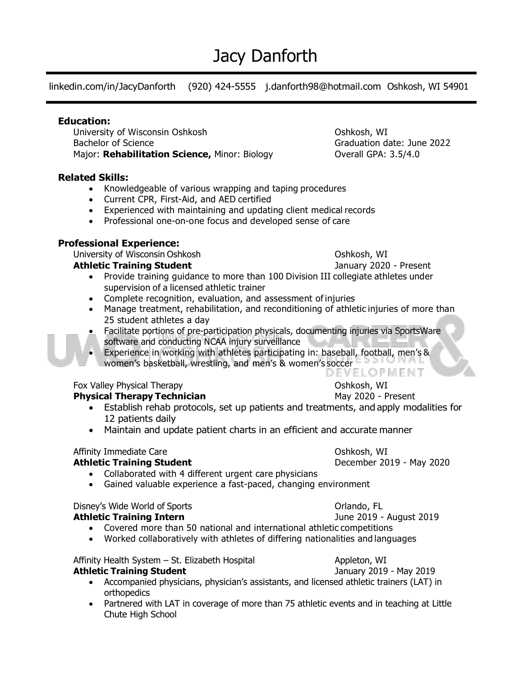# Jacy Danforth

linkedin.com/in/JacyDanforth (920) 424-5555 j.danforth98@hotmail.com Oshkosh, WI 54901

#### **Education:**

University of Wisconsin Oshkosh **Oshkosh** Oshkosh, WI Bachelor of Science Graduation date: June 2022 Major: **Rehabilitation Science, Minor: Biology Contrall GPA: 3.5/4.0** 

### **Related Skills:**

- Knowledgeable of various wrapping and taping procedures
- Current CPR, First-Aid, and AED certified
- Experienced with maintaining and updating client medical records
- Professional one-on-one focus and developed sense of care

#### **Professional Experience:**

University of Wisconsin Oshkosh **Oshkosh** Oshkosh, WI

#### **Athletic Training Student January 2020 - Present**

- Provide training guidance to more than 100 Division III collegiate athletes under supervision of a licensed athletic trainer
- Complete recognition, evaluation, and assessment of injuries
- Manage treatment, rehabilitation, and reconditioning of athletic injuries of more than 25 student athletes a day
- Facilitate portions of pre-participation physicals, documenting injuries via SportsWare software and conducting NCAA injury surveillance
- Experience in working with athletes participating in: baseball, football, men's & women's basketball, wrestling, and men's & women's soccer

Fox Valley Physical Therapy **Canadian Exercise Constructs** Oshkosh, WI

#### **Physical Therapy Technician** May 2020 - Present

- Establish rehab protocols, set up patients and treatments, and apply modalities for 12 patients daily
- Maintain and update patient charts in an efficient and accurate manner

#### Affinity Immediate Care Oshkosh, WI

#### **Athletic Training Student December 2019 - May 2020**

- Collaborated with 4 different urgent care physicians
- Gained valuable experience a fast-paced, changing environment

## Disney's Wide World of Sports **Community** Criando, FL

#### **Athletic Training Intern State Community Community** Summer 2019 - August 2019

- Covered more than 50 national and international athletic competitions
- Worked collaboratively with athletes of differing nationalities and languages

Affinity Health System – St. Elizabeth Hospital **Appleton, WI Athletic Training Student** January 2019 - May 2019

- Accompanied physicians, physician's assistants, and licensed athletic trainers (LAT) in orthopedics
- Partnered with LAT in coverage of more than 75 athletic events and in teaching at Little Chute High School

DEVELOPMENT